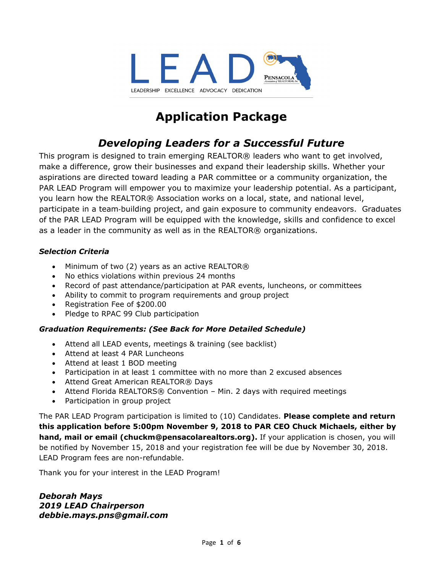

## **Application Package**

## *Developing Leaders for a Successful Future*

This program is designed to train emerging REALTOR® leaders who want to get involved, make a difference, grow their businesses and expand their leadership skills. Whether your aspirations are directed toward leading a PAR committee or a community organization, the PAR LEAD Program will empower you to maximize your leadership potential. As a participant, you learn how the REALTOR® Association works on a local, state, and national level, participate in a team-building project, and gain exposure to community endeavors. Graduates of the PAR LEAD Program will be equipped with the knowledge, skills and confidence to excel as a leader in the community as well as in the REALTOR® organizations.

#### *Selection Criteria*

- Minimum of two (2) years as an active REALTOR®
- No ethics violations within previous 24 months
- Record of past attendance/participation at PAR events, luncheons, or committees
- Ability to commit to program requirements and group project
- Registration Fee of \$200.00
- Pledge to RPAC 99 Club participation

### *Graduation Requirements: (See Back for More Detailed Schedule)*

- Attend all LEAD events, meetings & training (see backlist)
- Attend at least 4 PAR Luncheons
- Attend at least 1 BOD meeting
- Participation in at least 1 committee with no more than 2 excused absences
- Attend Great American REALTOR® Days
- Attend Florida REALTORS® Convention Min. 2 days with required meetings
- Participation in group project

The PAR LEAD Program participation is limited to (10) Candidates. **Please complete and return this application before 5:00pm November 9, 2018 to PAR CEO Chuck Michaels, either by hand, mail or email (chuckm@pensacolarealtors.org).** If your application is chosen, you will be notified by November 15, 2018 and your registration fee will be due by November 30, 2018. LEAD Program fees are non-refundable.

Thank you for your interest in the LEAD Program!

*Deborah Mays 2019 LEAD Chairperson debbie.mays.pns@gmail.com*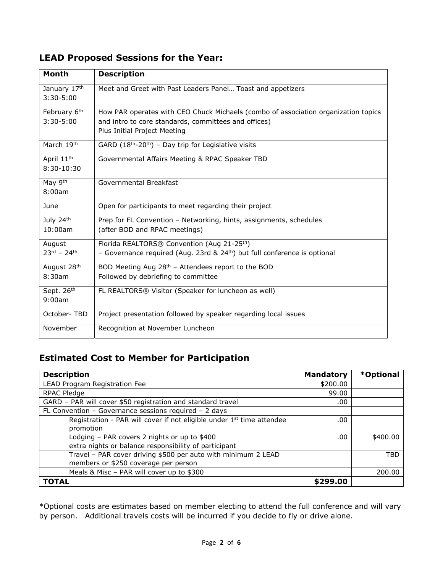### **LEAD Proposed Sessions for the Year:**

| <b>Month</b>           | <b>Description</b>                                                                 |
|------------------------|------------------------------------------------------------------------------------|
| January 17th           | Meet and Greet with Past Leaders Panel Toast and appetizers                        |
| $3:30 - 5:00$          |                                                                                    |
| February 6th           | How PAR operates with CEO Chuck Michaels (combo of association organization topics |
| $3:30 - 5:00$          | and intro to core standards, committees and offices)                               |
|                        | Plus Initial Project Meeting                                                       |
| March 19th             | GARD $(18th-20th) - Day trip for Logistic visits$                                  |
| April 11 <sup>th</sup> | Governmental Affairs Meeting & RPAC Speaker TBD                                    |
| 8:30-10:30             |                                                                                    |
| May 9th                | Governmental Breakfast                                                             |
| 8:00am                 |                                                                                    |
| June                   | Open for participants to meet regarding their project                              |
| July 24th              | Prep for FL Convention - Networking, hints, assignments, schedules                 |
| 10:00am                | (after BOD and RPAC meetings)                                                      |
| August                 | Florida REALTORS® Convention (Aug 21-25 <sup>th</sup> )                            |
| $23^{rd} - 24^{th}$    | - Governance required (Aug. 23rd & $24th$ ) but full conference is optional        |
| August 28th            | BOD Meeting Aug 28 <sup>th</sup> - Attendees report to the BOD                     |
| 8:30am                 | Followed by debriefing to committee                                                |
| Sept. 26th             | FL REALTORS® Visitor (Speaker for luncheon as well)                                |
| 9:00am                 |                                                                                    |
| October-TBD            | Project presentation followed by speaker regarding local issues                    |
| November               | Recognition at November Luncheon                                                   |

## **Estimated Cost to Member for Participation**

| <b>Description</b>                                                                | <b>Mandatory</b> | *Optional |
|-----------------------------------------------------------------------------------|------------------|-----------|
| LEAD Program Registration Fee                                                     | \$200.00         |           |
| RPAC Pledge                                                                       | 99.00            |           |
| GARD - PAR will cover \$50 registration and standard travel                       | .00              |           |
| FL Convention - Governance sessions required - 2 days                             |                  |           |
| Registration - PAR will cover if not eligible under 1 <sup>st</sup> time attendee | .00              |           |
| promotion                                                                         |                  |           |
| Lodging - PAR covers 2 nights or up to \$400                                      | .00              | \$400.00  |
| extra nights or balance responsibility of participant                             |                  |           |
| Travel - PAR cover driving \$500 per auto with minimum 2 LEAD                     |                  | TBD       |
| members or \$250 coverage per person                                              |                  |           |
| Meals & Misc - PAR will cover up to \$300                                         |                  | 200.00    |
| TOTAL                                                                             | \$299.00         |           |

\*Optional costs are estimates based on member electing to attend the full conference and will vary by person. Additional travels costs will be incurred if you decide to fly or drive alone.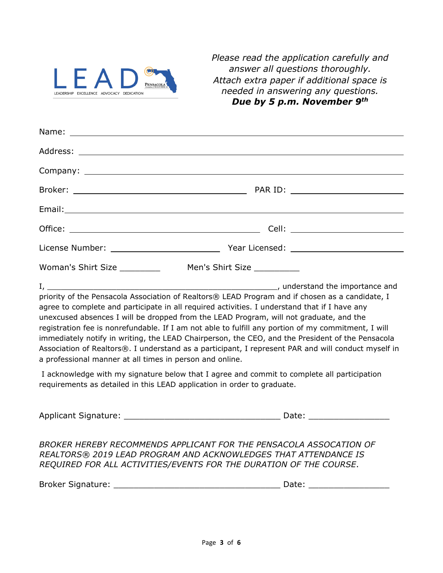

*Please read the application carefully and answer all questions thoroughly. Attach extra paper if additional space is needed in answering any questions. Due by 5 p.m. November 9th* 

| priority of the Pensacola Association of Realtors® LEAD Program and if chosen as a candidate, I<br>agree to complete and participate in all required activities. I understand that if I have any<br>unexcused absences I will be dropped from the LEAD Program, will not graduate, and the<br>registration fee is nonrefundable. If I am not able to fulfill any portion of my commitment, I will<br>immediately notify in writing, the LEAD Chairperson, the CEO, and the President of the Pensacola |  |  |  |
|-------------------------------------------------------------------------------------------------------------------------------------------------------------------------------------------------------------------------------------------------------------------------------------------------------------------------------------------------------------------------------------------------------------------------------------------------------------------------------------------------------|--|--|--|

 I acknowledge with my signature below that I agree and commit to complete all participation requirements as detailed in this LEAD application in order to graduate.

a professional manner at all times in person and online.

Association of Realtors®. I understand as a participant, I represent PAR and will conduct myself in

Applicant Signature: \_\_\_\_\_\_\_\_\_\_\_\_\_\_\_\_\_\_\_\_\_\_\_\_\_\_\_\_\_\_\_ Date: \_\_\_\_\_\_\_\_\_\_\_\_\_\_\_\_

*BROKER HEREBY RECOMMENDS APPLICANT FOR THE PENSACOLA ASSOCATION OF REALTORS® 2019 LEAD PROGRAM AND ACKNOWLEDGES THAT ATTENDANCE IS REQUIRED FOR ALL ACTIVITIES/EVENTS FOR THE DURATION OF THE COURSE*.

| <b>Broker Si</b><br>Signature: |  |
|--------------------------------|--|
|--------------------------------|--|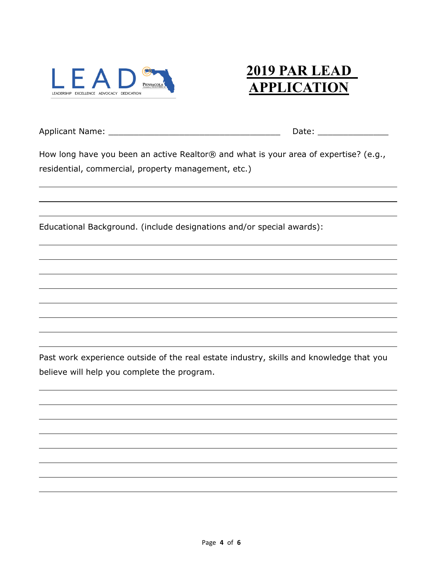

# **2019 PAR LEAD APPLICATION**

Applicant Name: \_\_\_\_\_\_\_\_\_\_\_\_\_\_\_\_\_\_\_\_\_\_\_\_\_\_\_\_\_\_\_\_\_\_ Date: \_\_\_\_\_\_\_\_\_\_\_\_\_\_

How long have you been an active Realtor® and what is your area of expertise? (e.g., residential, commercial, property management, etc.)

Educational Background. (include designations and/or special awards):

Past work experience outside of the real estate industry, skills and knowledge that you believe will help you complete the program.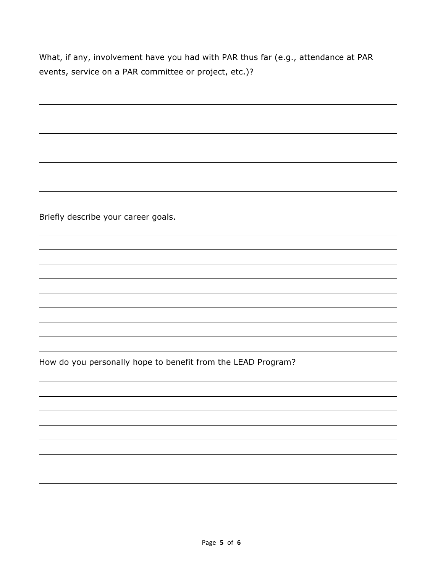What, if any, involvement have you had with PAR thus far (e.g., attendance at PAR events, service on a PAR committee or project, etc.)?

| Briefly describe your career goals.                          |
|--------------------------------------------------------------|
|                                                              |
|                                                              |
|                                                              |
|                                                              |
|                                                              |
|                                                              |
|                                                              |
|                                                              |
| How do you personally hope to benefit from the LEAD Program? |
|                                                              |
|                                                              |
|                                                              |
|                                                              |
|                                                              |
|                                                              |
|                                                              |
|                                                              |
|                                                              |